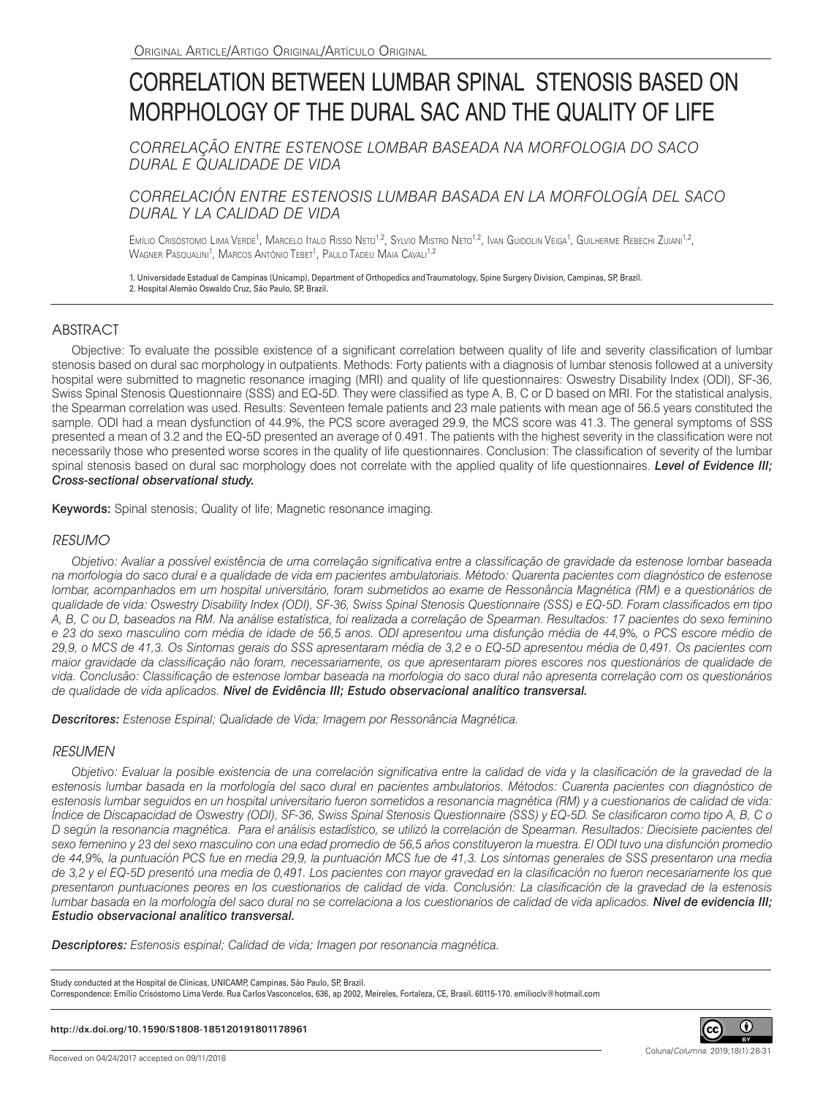# CORRELATION BETWEEN LUMBAR SPINAL STENOSIS BASED ON MORPHOLOGY OF THE DURAL SAC AND THE QUALITY OF LIFE

*CORRELAÇÃO ENTRE ESTENOSE LOMBAR BASEADA NA MORFOLOGIA DO SACO DURAL E QUALIDADE DE VIDA*

# *CORRELACIÓN ENTRE ESTENOSIS LUMBAR BASADA EN LA MORFOLOGÍA DEL SACO DURAL Y LA CALIDAD DE VIDA*

Emílio Crisóstomo Lima Verde<sup>1</sup>, Marcelo Italo Risso Neto<sup>1,2</sup>, Sylvio Mistro Neto<sup>1,2</sup>, Ivan Guidolin Veiga<sup>1</sup>, Guilherme Rebechi Zuiani<sup>1,2</sup>, Wagner Pasqualini<sup>1</sup>, Marcos Antônio Tebet<sup>1</sup>, Paulo Tadeu Maia Cavali<sup>1,2</sup>

1. Universidade Estadual de Campinas (Unicamp), Department of Orthopedics and Traumatology, Spine Surgery Division, Campinas, SP, Brazil. 2. Hospital Alemão Oswaldo Cruz, São Paulo, SP, Brazil.

## **ABSTRACT**

Objective: To evaluate the possible existence of a significant correlation between quality of life and severity classification of lumbar stenosis based on dural sac morphology in outpatients. Methods: Forty patients with a diagnosis of lumbar stenosis followed at a university hospital were submitted to magnetic resonance imaging (MRI) and quality of life questionnaires: Oswestry Disability Index (ODI), SF-36, Swiss Spinal Stenosis Questionnaire (SSS) and EQ-5D. They were classified as type A, B, C or D based on MRI. For the statistical analysis, the Spearman correlation was used. Results: Seventeen female patients and 23 male patients with mean age of 56.5 years constituted the sample. ODI had a mean dysfunction of 44.9%, the PCS score averaged 29.9, the MCS score was 41.3. The general symptoms of SSS presented a mean of 3.2 and the EQ-5D presented an average of 0.491. The patients with the highest severity in the classification were not necessarily those who presented worse scores in the quality of life questionnaires. Conclusion: The classification of severity of the lumbar spinal stenosis based on dural sac morphology does not correlate with the applied quality of life questionnaires. *Level of Evidence III; Cross-sectional observational study.*

Keywords: Spinal stenosis; Quality of life; Magnetic resonance imaging.

## *RESUMO*

*Objetivo: Avaliar a possível existência de uma correlação significativa entre a classificação de gravidade da estenose lombar baseada na morfologia do saco dural e a qualidade de vida em pacientes ambulatoriais. Método: Quarenta pacientes com diagnóstico de estenose lombar, acompanhados em um hospital universitário, foram submetidos ao exame de Ressonância Magnética (RM) e a questionários de qualidade de vida: Oswestry Disability Index (ODI), SF-36, Swiss Spinal Stenosis Questionnaire (SSS) e EQ-5D. Foram classificados em tipo A, B, C ou D, baseados na RM. Na análise estatística, foi realizada a correlação de Spearman. Resultados: 17 pacientes do sexo feminino e 23 do sexo masculino com média de idade de 56,5 anos. ODI apresentou uma disfunção média de 44,9%, o PCS escore médio de 29,9, o MCS de 41,3. Os Sintomas gerais do SSS apresentaram média de 3,2 e o EQ-5D apresentou média de 0,491. Os pacientes com maior gravidade da classificação não foram, necessariamente, os que apresentaram piores escores nos questionários de qualidade de vida. Conclusão: Classificação de estenose lombar baseada na morfologia do saco dural não apresenta correlação com os questionários de qualidade de vida aplicados. Nível de Evidência III; Estudo observacional analítico transversal.*

*Descritores: Estenose Espinal; Qualidade de Vida; Imagem por Ressonância Magnética.*

## *RESUMEN*

*Objetivo: Evaluar la posible existencia de una correlación significativa entre la calidad de vida y la clasificación de la gravedad de la*  estenosis lumbar basada en la morfología del saco dural en pacientes ambulatorios. Métodos: Cuarenta pacientes con diagnóstico de *estenosis lumbar seguidos en un hospital universitario fueron sometidos a resonancia magnética (RM) y a cuestionarios de calidad de vida: Índice de Discapacidad de Oswestry (ODI), SF-36, Swiss Spinal Stenosis Questionnaire (SSS) y EQ-5D. Se clasificaron como tipo A, B, C o D según la resonancia magnética. Para el análisis estadístico, se utilizó la correlación de Spearman. Resultados: Diecisiete pacientes del sexo femenino y 23 del sexo masculino con una edad promedio de 56,5 años constituyeron la muestra. El ODI tuvo una disfunción promedio de 44,9%, la puntuación PCS fue en media 29,9, la puntuación MCS fue de 41,3. Los síntomas generales de SSS presentaron una media de 3,2 y el EQ-5D presentó una media de 0,491. Los pacientes con mayor gravedad en la clasificación no fueron necesariamente los que presentaron puntuaciones peores en los cuestionarios de calidad de vida. Conclusión: La clasificación de la gravedad de la estenosis lumbar basada en la morfología del saco dural no se correlaciona a los cuestionarios de calidad de vida aplicados. Nivel de evidencia III; Estudio observacional analítico transversal.*

*Descriptores: Estenosis espinal; Calidad de vida; Imagen por resonancia magnética.*

Study conducted at the Hospital de Clínicas, UNICAMP, Campinas, São Paulo, SP, Brazil. Correspondence: Emílio Crisóstomo Lima Verde. Rua Carlos Vasconcelos, 636, ap 2002, Meireles, Fortaleza, CE, Brasil. 60115-170. emilioclv@hotmail.com

#### **http://dx.doi.org/10.1590/S1808-185120191801178961**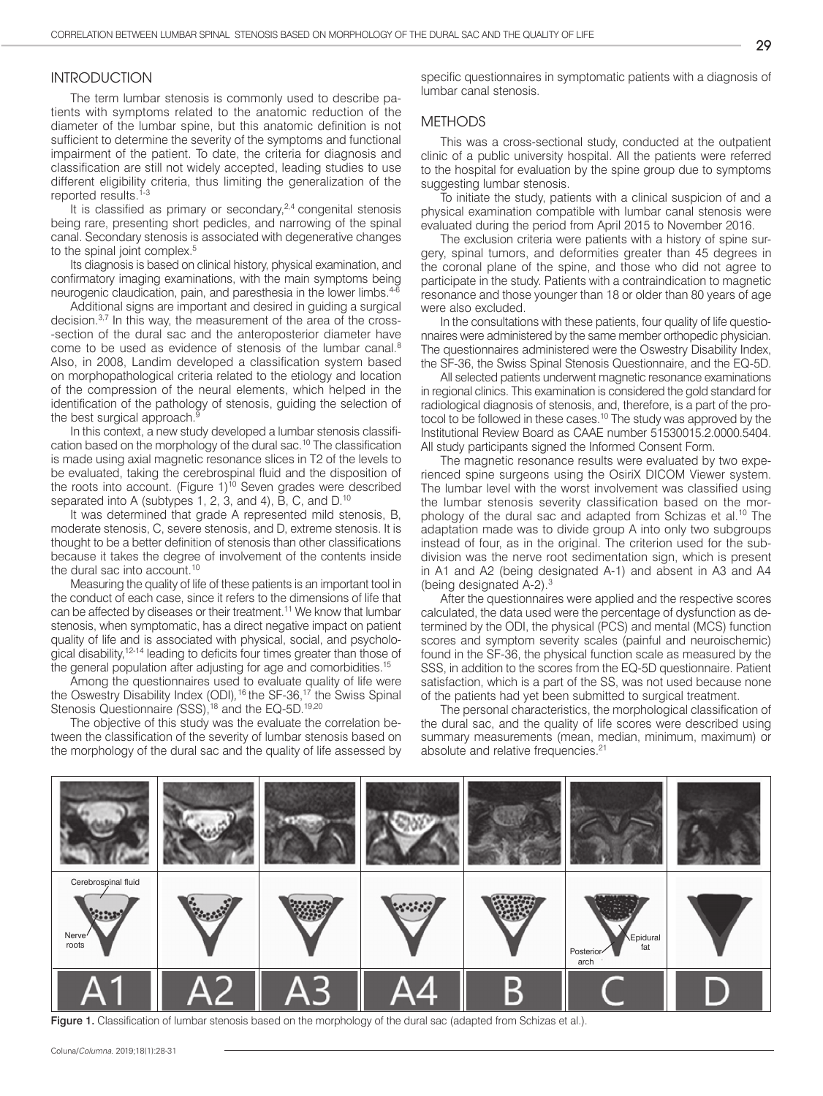## INTRODUCTION

The term lumbar stenosis is commonly used to describe patients with symptoms related to the anatomic reduction of the diameter of the lumbar spine, but this anatomic definition is not sufficient to determine the severity of the symptoms and functional impairment of the patient. To date, the criteria for diagnosis and classification are still not widely accepted, leading studies to use different eligibility criteria, thus limiting the generalization of the reported results.<sup>1-3</sup>

It is classified as primary or secondary,<sup>2,4</sup> congenital stenosis being rare, presenting short pedicles, and narrowing of the spinal canal. Secondary stenosis is associated with degenerative changes to the spinal joint complex.<sup>5</sup>

Its diagnosis is based on clinical history, physical examination, and confirmatory imaging examinations, with the main symptoms being neurogenic claudication, pain, and paresthesia in the lower limbs.<sup>4-6</sup>

Additional signs are important and desired in guiding a surgical decision.3,7 In this way, the measurement of the area of the cross- -section of the dural sac and the anteroposterior diameter have come to be used as evidence of stenosis of the lumbar canal.<sup>8</sup> Also, in 2008, Landim developed a classification system based on morphopathological criteria related to the etiology and location of the compression of the neural elements, which helped in the identification of the pathology of stenosis, guiding the selection of the best surgical approach.

In this context, a new study developed a lumbar stenosis classification based on the morphology of the dural sac.10 The classification is made using axial magnetic resonance slices in T2 of the levels to be evaluated, taking the cerebrospinal fluid and the disposition of the roots into account. (Figure  $1$ )<sup>10</sup> Seven grades were described separated into A (subtypes 1, 2, 3, and 4), B, C, and D.<sup>10</sup>

It was determined that grade A represented mild stenosis, B, moderate stenosis, C, severe stenosis, and D, extreme stenosis. It is thought to be a better definition of stenosis than other classifications because it takes the degree of involvement of the contents inside the dural sac into account.<sup>10</sup>

Measuring the quality of life of these patients is an important tool in the conduct of each case, since it refers to the dimensions of life that can be affected by diseases or their treatment.<sup>11</sup> We know that lumbar stenosis, when symptomatic, has a direct negative impact on patient quality of life and is associated with physical, social, and psychological disability,12-14 leading to deficits four times greater than those of the general population after adjusting for age and comorbidities.15

Among the questionnaires used to evaluate quality of life were the Oswestry Disability Index (ODI), <sup>16</sup> the SF-36, <sup>17</sup> the Swiss Spinal Stenosis Questionnaire (SSS),<sup>18</sup> and the EQ-5D.<sup>19,20</sup>

The objective of this study was the evaluate the correlation between the classification of the severity of lumbar stenosis based on the morphology of the dural sac and the quality of life assessed by

specific questionnaires in symptomatic patients with a diagnosis of lumbar canal stenosis.

### **METHODS**

This was a cross-sectional study, conducted at the outpatient clinic of a public university hospital. All the patients were referred to the hospital for evaluation by the spine group due to symptoms suggesting lumbar stenosis.

To initiate the study, patients with a clinical suspicion of and a physical examination compatible with lumbar canal stenosis were evaluated during the period from April 2015 to November 2016.

The exclusion criteria were patients with a history of spine surgery, spinal tumors, and deformities greater than 45 degrees in the coronal plane of the spine, and those who did not agree to participate in the study. Patients with a contraindication to magnetic resonance and those younger than 18 or older than 80 years of age were also excluded.

In the consultations with these patients, four quality of life questionnaires were administered by the same member orthopedic physician. The questionnaires administered were the Oswestry Disability Index, the SF-36, the Swiss Spinal Stenosis Questionnaire, and the EQ-5D.

All selected patients underwent magnetic resonance examinations in regional clinics. This examination is considered the gold standard for radiological diagnosis of stenosis, and, therefore, is a part of the protocol to be followed in these cases.<sup>10</sup> The study was approved by the Institutional Review Board as CAAE number 51530015.2.0000.5404. All study participants signed the Informed Consent Form.

The magnetic resonance results were evaluated by two experienced spine surgeons using the OsiriX DICOM Viewer system. The lumbar level with the worst involvement was classified using the lumbar stenosis severity classification based on the morphology of the dural sac and adapted from Schizas et al.<sup>10</sup> The adaptation made was to divide group A into only two subgroups instead of four, as in the original. The criterion used for the subdivision was the nerve root sedimentation sign, which is present in A1 and A2 (being designated A-1) and absent in A3 and A4 (being designated  $A-2$ ).<sup>3</sup>

After the questionnaires were applied and the respective scores calculated, the data used were the percentage of dysfunction as determined by the ODI, the physical (PCS) and mental (MCS) function scores and symptom severity scales (painful and neuroischemic) found in the SF-36, the physical function scale as measured by the SSS, in addition to the scores from the EQ-5D questionnaire. Patient satisfaction, which is a part of the SS, was not used because none of the patients had yet been submitted to surgical treatment.

The personal characteristics, the morphological classification of the dural sac, and the quality of life scores were described using summary measurements (mean, median, minimum, maximum) or absolute and relative frequencies.<sup>21</sup>



Figure 1. Classification of lumbar stenosis based on the morphology of the dural sac (adapted from Schizas et al.).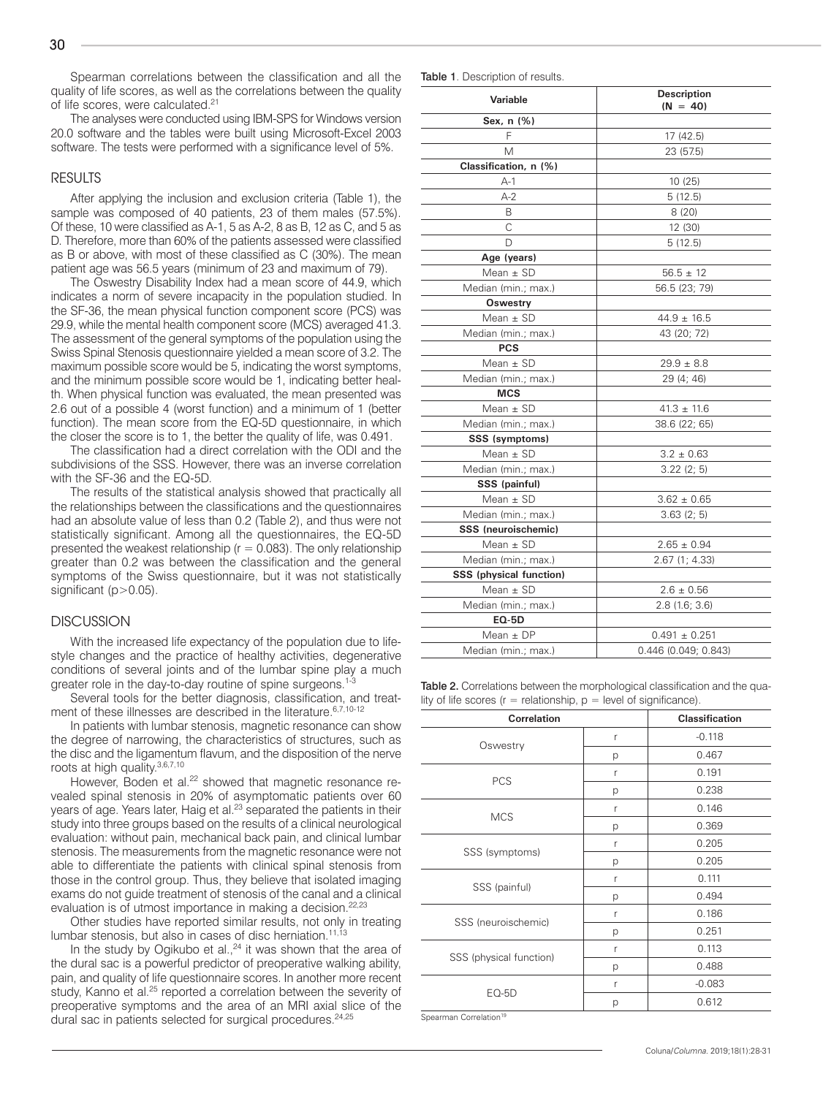Spearman correlations between the classification and all the quality of life scores, as well as the correlations between the quality of life scores, were calculated.<sup>21</sup>

The analyses were conducted using IBM-SPS for Windows version 20.0 software and the tables were built using Microsoft-Excel 2003 software. The tests were performed with a significance level of 5%.

#### RESULTS

After applying the inclusion and exclusion criteria (Table 1), the sample was composed of 40 patients, 23 of them males (57.5%). Of these, 10 were classified as A-1, 5 as A-2, 8 as B, 12 as C, and 5 as D. Therefore, more than 60% of the patients assessed were classified as B or above, with most of these classified as C (30%). The mean patient age was 56.5 years (minimum of 23 and maximum of 79).

The Oswestry Disability Index had a mean score of 44.9, which indicates a norm of severe incapacity in the population studied. In the SF-36, the mean physical function component score (PCS) was 29.9, while the mental health component score (MCS) averaged 41.3. The assessment of the general symptoms of the population using the Swiss Spinal Stenosis questionnaire yielded a mean score of 3.2. The maximum possible score would be 5, indicating the worst symptoms, and the minimum possible score would be 1, indicating better health. When physical function was evaluated, the mean presented was 2.6 out of a possible 4 (worst function) and a minimum of 1 (better function). The mean score from the EQ-5D questionnaire, in which the closer the score is to 1, the better the quality of life, was 0.491.

The classification had a direct correlation with the ODI and the subdivisions of the SSS. However, there was an inverse correlation with the SF-36 and the EQ-5D.

The results of the statistical analysis showed that practically all the relationships between the classifications and the questionnaires had an absolute value of less than 0.2 (Table 2), and thus were not statistically significant. Among all the questionnaires, the EQ-5D presented the weakest relationship ( $r = 0.083$ ). The only relationship greater than 0.2 was between the classification and the general symptoms of the Swiss questionnaire, but it was not statistically significant (p>0.05).

## **DISCUSSION**

With the increased life expectancy of the population due to lifestyle changes and the practice of healthy activities, degenerative conditions of several joints and of the lumbar spine play a much greater role in the day-to-day routine of spine surgeons.<sup>1-3</sup>

Several tools for the better diagnosis, classification, and treatment of these illnesses are described in the literature.<sup>6,7,10-12</sup>

In patients with lumbar stenosis, magnetic resonance can show the degree of narrowing, the characteristics of structures, such as the disc and the ligamentum flavum, and the disposition of the nerve roots at high quality.<sup>3,6,7,10</sup>

However, Boden et al.<sup>22</sup> showed that magnetic resonance revealed spinal stenosis in 20% of asymptomatic patients over 60 years of age. Years later, Haig et al.<sup>23</sup> separated the patients in their study into three groups based on the results of a clinical neurological evaluation: without pain, mechanical back pain, and clinical lumbar stenosis. The measurements from the magnetic resonance were not able to differentiate the patients with clinical spinal stenosis from those in the control group. Thus, they believe that isolated imaging exams do not guide treatment of stenosis of the canal and a clinical evaluation is of utmost importance in making a decision.<sup>22,23</sup>

Other studies have reported similar results, not only in treating lumbar stenosis, but also in cases of disc herniation.<sup>11,13</sup>

In the study by Ogikubo et al.,<sup>24</sup> it was shown that the area of the dural sac is a powerful predictor of preoperative walking ability, pain, and quality of life questionnaire scores. In another more recent study, Kanno et al.<sup>25</sup> reported a correlation between the severity of preoperative symptoms and the area of an MRI axial slice of the dural sac in patients selected for surgical procedures.<sup>24,25</sup>

| <b>Description</b><br>$(N = 40)$ |  |
|----------------------------------|--|
|                                  |  |
| 17 (42.5)                        |  |
| 23 (57.5)                        |  |
|                                  |  |
| 10 (25)                          |  |
| 5(12.5)                          |  |
| 8(20)                            |  |
| 12 (30)                          |  |
| 5(12.5)                          |  |
|                                  |  |
| $56.5 \pm 12$                    |  |
| 56.5 (23; 79)                    |  |
|                                  |  |
| $44.9 \pm 16.5$                  |  |
| 43 (20; 72)                      |  |
|                                  |  |
| $29.9 \pm 8.8$                   |  |
| 29 (4; 46)                       |  |
|                                  |  |
| $41.3 \pm 11.6$                  |  |
| 38.6 (22; 65)                    |  |
|                                  |  |
| $3.2 \pm 0.63$                   |  |
| 3.22(2; 5)                       |  |
|                                  |  |
| $3.62 \pm 0.65$                  |  |
| 3.63(2; 5)                       |  |
|                                  |  |
| $2.65 \pm 0.94$                  |  |
| 2.67 (1; 4.33)                   |  |
|                                  |  |
| $2.6 \pm 0.56$                   |  |
| 2.8(1.6; 3.6)                    |  |
|                                  |  |
| $0.491 \pm 0.251$                |  |
| 0.446 (0.049; 0.843)             |  |
|                                  |  |

Table 2. Correlations between the morphological classification and the quality of life scores ( $r =$  relationship,  $p =$  level of significance).

| <b>Correlation</b>      |   | <b>Classification</b> |
|-------------------------|---|-----------------------|
| Oswestry                | r | $-0.118$              |
|                         | р | 0.467                 |
| PCS                     | r | 0.191                 |
|                         | р | 0.238                 |
| <b>MCS</b>              | r | 0.146                 |
|                         | р | 0.369                 |
| SSS (symptoms)          | r | 0.205                 |
|                         | p | 0.205                 |
| SSS (painful)           | r | 0.111                 |
|                         | р | 0.494                 |
| SSS (neuroischemic)     | r | 0.186                 |
|                         | р | 0.251                 |
| SSS (physical function) | r | 0.113                 |
|                         | р | 0.488                 |
| $EO-5D$                 | r | $-0.083$              |
|                         | р | 0.612                 |

Spearman Correlation<sup>19</sup>